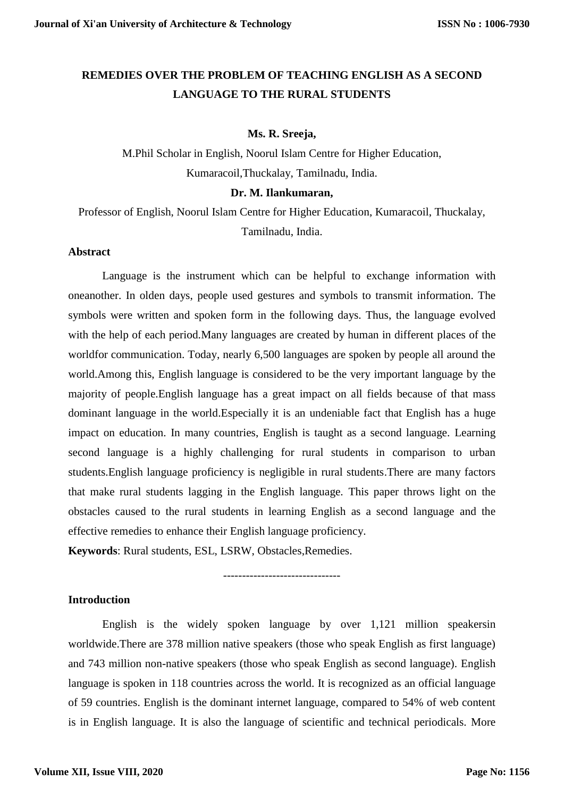# **REMEDIES OVER THE PROBLEM OF TEACHING ENGLISH AS A SECOND LANGUAGE TO THE RURAL STUDENTS**

## **Ms. R. Sreeja,**

M.Phil Scholar in English, Noorul Islam Centre for Higher Education, Kumaracoil,Thuckalay, Tamilnadu, India.

## **Dr. M. Ilankumaran,**

Professor of English, Noorul Islam Centre for Higher Education, Kumaracoil, Thuckalay,

Tamilnadu, India.

## **Abstract**

Language is the instrument which can be helpful to exchange information with oneanother. In olden days, people used gestures and symbols to transmit information. The symbols were written and spoken form in the following days. Thus, the language evolved with the help of each period.Many languages are created by human in different places of the worldfor communication. Today, nearly 6,500 languages are spoken by people all around the world.Among this, English language is considered to be the very important language by the majority of people.English language has a great impact on all fields because of that mass dominant language in the world.Especially it is an undeniable fact that English has a huge impact on education. In many countries, English is taught as a second language. Learning second language is a highly challenging for rural students in comparison to urban students.English language proficiency is negligible in rural students.There are many factors that make rural students lagging in the English language. This paper throws light on the obstacles caused to the rural students in learning English as a second language and the effective remedies to enhance their English language proficiency.

**Keywords**: Rural students, ESL, LSRW, Obstacles,Remedies.

-------------------------------

## **Introduction**

English is the widely spoken language by over 1,121 million speakersin worldwide.There are 378 million native speakers (those who speak English as first language) and 743 million non-native speakers (those who speak English as second language). English language is spoken in 118 countries across the world. It is recognized as an official language of 59 countries. English is the dominant internet language, compared to 54% of web content is in English language. It is also the language of scientific and technical periodicals. More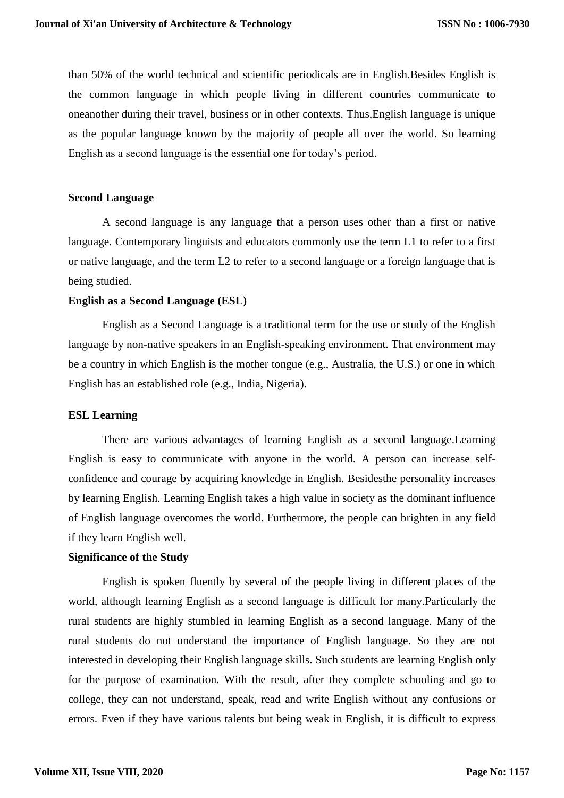than 50% of the world technical and scientific periodicals are in English.Besides English is the common language in which people living in different countries communicate to oneanother during their travel, business or in other contexts. Thus,English language is unique as the popular language known by the majority of people all over the world. So learning English as a second language is the essential one for today's period.

## **Second Language**

A second language is any language that a person uses other than a first or native language. Contemporary linguists and educators commonly use the term L1 to refer to a first or native language, and the term L2 to refer to a second language or a foreign language that is being studied.

## **English as a Second Language (ESL)**

English as a Second Language is a traditional term for the use or study of the English language by non-native speakers in an English-speaking environment. That environment may be a country in which English is the mother tongue (e.g., Australia, the U.S.) or one in which English has an established role (e.g., India, Nigeria).

## **ESL Learning**

There are various advantages of learning English as a second language.Learning English is easy to communicate with anyone in the world. A person can increase selfconfidence and courage by acquiring knowledge in English. Besidesthe personality increases by learning English. Learning English takes a high value in society as the dominant influence of English language overcomes the world. Furthermore, the people can brighten in any field if they learn English well.

### **Significance of the Study**

English is spoken fluently by several of the people living in different places of the world, although learning English as a second language is difficult for many.Particularly the rural students are highly stumbled in learning English as a second language. Many of the rural students do not understand the importance of English language. So they are not interested in developing their English language skills. Such students are learning English only for the purpose of examination. With the result, after they complete schooling and go to college, they can not understand, speak, read and write English without any confusions or errors. Even if they have various talents but being weak in English, it is difficult to express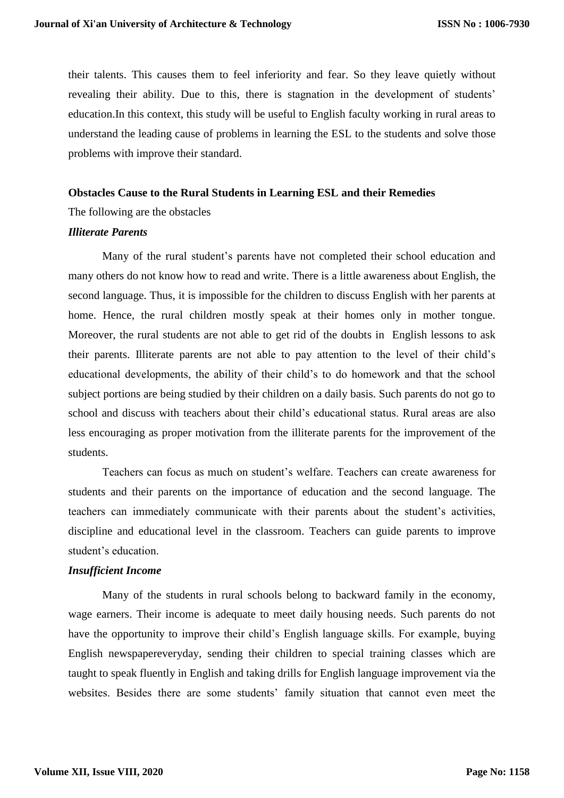their talents. This causes them to feel inferiority and fear. So they leave quietly without revealing their ability. Due to this, there is stagnation in the development of students' education.In this context, this study will be useful to English faculty working in rural areas to understand the leading cause of problems in learning the ESL to the students and solve those problems with improve their standard.

## **Obstacles Cause to the Rural Students in Learning ESL and their Remedies**

The following are the obstacles

### *Illiterate Parents*

Many of the rural student's parents have not completed their school education and many others do not know how to read and write. There is a little awareness about English, the second language. Thus, it is impossible for the children to discuss English with her parents at home. Hence, the rural children mostly speak at their homes only in mother tongue. Moreover, the rural students are not able to get rid of the doubts in English lessons to ask their parents. Illiterate parents are not able to pay attention to the level of their child's educational developments, the ability of their child's to do homework and that the school subject portions are being studied by their children on a daily basis. Such parents do not go to school and discuss with teachers about their child's educational status. Rural areas are also less encouraging as proper motivation from the illiterate parents for the improvement of the students.

Teachers can focus as much on student's welfare. Teachers can create awareness for students and their parents on the importance of education and the second language. The teachers can immediately communicate with their parents about the student's activities, discipline and educational level in the classroom. Teachers can guide parents to improve student's education.

### *Insufficient Income*

Many of the students in rural schools belong to backward family in the economy, wage earners. Their income is adequate to meet daily housing needs. Such parents do not have the opportunity to improve their child's English language skills. For example, buying English newspapereveryday, sending their children to special training classes which are taught to speak fluently in English and taking drills for English language improvement via the websites. Besides there are some students' family situation that cannot even meet the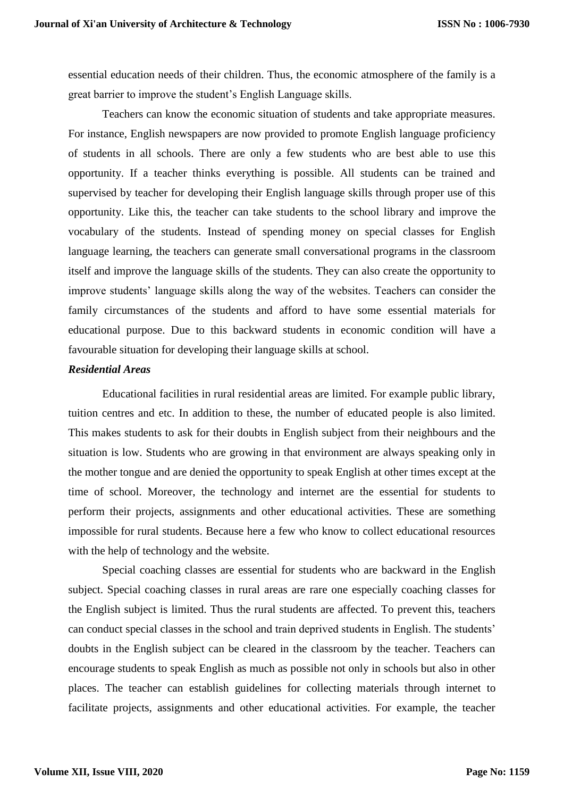essential education needs of their children. Thus, the economic atmosphere of the family is a great barrier to improve the student's English Language skills.

Teachers can know the economic situation of students and take appropriate measures. For instance, English newspapers are now provided to promote English language proficiency of students in all schools. There are only a few students who are best able to use this opportunity. If a teacher thinks everything is possible. All students can be trained and supervised by teacher for developing their English language skills through proper use of this opportunity. Like this, the teacher can take students to the school library and improve the vocabulary of the students. Instead of spending money on special classes for English language learning, the teachers can generate small conversational programs in the classroom itself and improve the language skills of the students. They can also create the opportunity to improve students' language skills along the way of the websites. Teachers can consider the family circumstances of the students and afford to have some essential materials for educational purpose. Due to this backward students in economic condition will have a favourable situation for developing their language skills at school.

## *Residential Areas*

Educational facilities in rural residential areas are limited. For example public library, tuition centres and etc. In addition to these, the number of educated people is also limited. This makes students to ask for their doubts in English subject from their neighbours and the situation is low. Students who are growing in that environment are always speaking only in the mother tongue and are denied the opportunity to speak English at other times except at the time of school. Moreover, the technology and internet are the essential for students to perform their projects, assignments and other educational activities. These are something impossible for rural students. Because here a few who know to collect educational resources with the help of technology and the website.

Special coaching classes are essential for students who are backward in the English subject. Special coaching classes in rural areas are rare one especially coaching classes for the English subject is limited. Thus the rural students are affected. To prevent this, teachers can conduct special classes in the school and train deprived students in English. The students' doubts in the English subject can be cleared in the classroom by the teacher. Teachers can encourage students to speak English as much as possible not only in schools but also in other places. The teacher can establish guidelines for collecting materials through internet to facilitate projects, assignments and other educational activities. For example, the teacher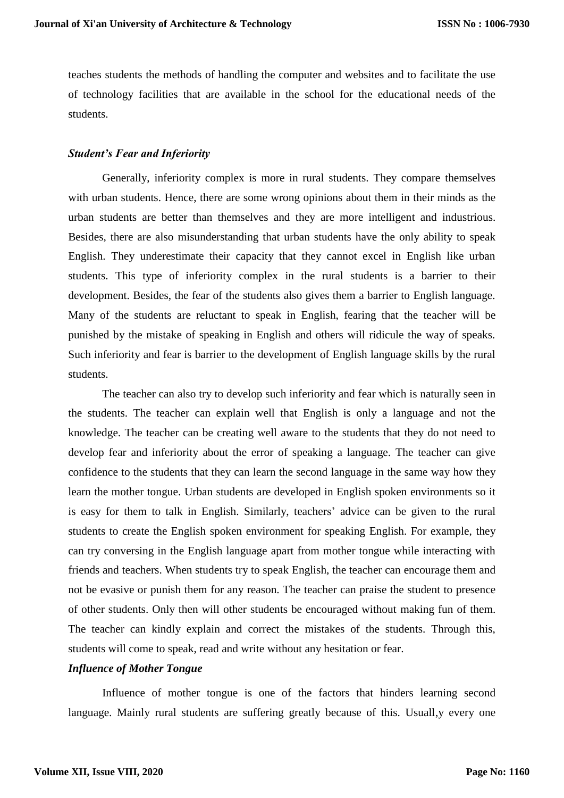teaches students the methods of handling the computer and websites and to facilitate the use of technology facilities that are available in the school for the educational needs of the students.

## *Student's Fear and Inferiority*

Generally, inferiority complex is more in rural students. They compare themselves with urban students. Hence, there are some wrong opinions about them in their minds as the urban students are better than themselves and they are more intelligent and industrious. Besides, there are also misunderstanding that urban students have the only ability to speak English. They underestimate their capacity that they cannot excel in English like urban students. This type of inferiority complex in the rural students is a barrier to their development. Besides, the fear of the students also gives them a barrier to English language. Many of the students are reluctant to speak in English, fearing that the teacher will be punished by the mistake of speaking in English and others will ridicule the way of speaks. Such inferiority and fear is barrier to the development of English language skills by the rural students.

The teacher can also try to develop such inferiority and fear which is naturally seen in the students. The teacher can explain well that English is only a language and not the knowledge. The teacher can be creating well aware to the students that they do not need to develop fear and inferiority about the error of speaking a language. The teacher can give confidence to the students that they can learn the second language in the same way how they learn the mother tongue. Urban students are developed in English spoken environments so it is easy for them to talk in English. Similarly, teachers' advice can be given to the rural students to create the English spoken environment for speaking English. For example, they can try conversing in the English language apart from mother tongue while interacting with friends and teachers. When students try to speak English, the teacher can encourage them and not be evasive or punish them for any reason. The teacher can praise the student to presence of other students. Only then will other students be encouraged without making fun of them. The teacher can kindly explain and correct the mistakes of the students. Through this, students will come to speak, read and write without any hesitation or fear.

## *Influence of Mother Tongue*

Influence of mother tongue is one of the factors that hinders learning second language. Mainly rural students are suffering greatly because of this. Usuall, y every one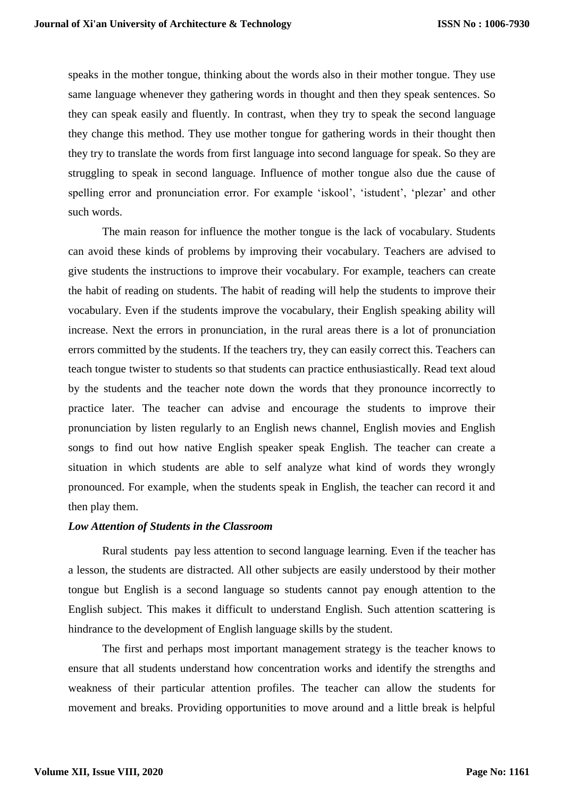speaks in the mother tongue, thinking about the words also in their mother tongue. They use same language whenever they gathering words in thought and then they speak sentences. So they can speak easily and fluently. In contrast, when they try to speak the second language they change this method. They use mother tongue for gathering words in their thought then they try to translate the words from first language into second language for speak. So they are struggling to speak in second language. Influence of mother tongue also due the cause of spelling error and pronunciation error. For example 'iskool', 'istudent', 'plezar' and other such words.

The main reason for influence the mother tongue is the lack of vocabulary. Students can avoid these kinds of problems by improving their vocabulary. Teachers are advised to give students the instructions to improve their vocabulary. For example, teachers can create the habit of reading on students. The habit of reading will help the students to improve their vocabulary. Even if the students improve the vocabulary, their English speaking ability will increase. Next the errors in pronunciation, in the rural areas there is a lot of pronunciation errors committed by the students. If the teachers try, they can easily correct this. Teachers can teach tongue twister to students so that students can practice enthusiastically. Read text aloud by the students and the teacher note down the words that they pronounce incorrectly to practice later. The teacher can advise and encourage the students to improve their pronunciation by listen regularly to an English news channel, English movies and English songs to find out how native English speaker speak English. The teacher can create a situation in which students are able to self analyze what kind of words they wrongly pronounced. For example, when the students speak in English, the teacher can record it and then play them.

### *Low Attention of Students in the Classroom*

Rural students pay less attention to second language learning. Even if the teacher has a lesson, the students are distracted. All other subjects are easily understood by their mother tongue but English is a second language so students cannot pay enough attention to the English subject. This makes it difficult to understand English. Such attention scattering is hindrance to the development of English language skills by the student.

The first and perhaps most important management strategy is the teacher knows to ensure that all students understand how concentration works and identify the strengths and weakness of their particular attention profiles. The teacher can allow the students for movement and breaks. Providing opportunities to move around and a little break is helpful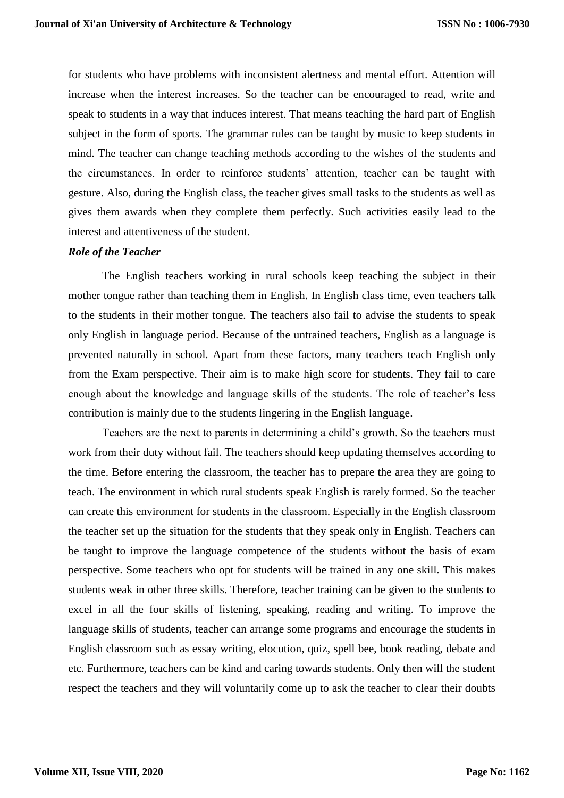for students who have problems with inconsistent alertness and mental effort. Attention will increase when the interest increases. So the teacher can be encouraged to read, write and speak to students in a way that induces interest. That means teaching the hard part of English subject in the form of sports. The grammar rules can be taught by music to keep students in mind. The teacher can change teaching methods according to the wishes of the students and the circumstances. In order to reinforce students' attention, teacher can be taught with gesture. Also, during the English class, the teacher gives small tasks to the students as well as gives them awards when they complete them perfectly. Such activities easily lead to the interest and attentiveness of the student.

### *Role of the Teacher*

The English teachers working in rural schools keep teaching the subject in their mother tongue rather than teaching them in English. In English class time, even teachers talk to the students in their mother tongue. The teachers also fail to advise the students to speak only English in language period. Because of the untrained teachers, English as a language is prevented naturally in school. Apart from these factors, many teachers teach English only from the Exam perspective. Their aim is to make high score for students. They fail to care enough about the knowledge and language skills of the students. The role of teacher's less contribution is mainly due to the students lingering in the English language.

Teachers are the next to parents in determining a child's growth. So the teachers must work from their duty without fail. The teachers should keep updating themselves according to the time. Before entering the classroom, the teacher has to prepare the area they are going to teach. The environment in which rural students speak English is rarely formed. So the teacher can create this environment for students in the classroom. Especially in the English classroom the teacher set up the situation for the students that they speak only in English. Teachers can be taught to improve the language competence of the students without the basis of exam perspective. Some teachers who opt for students will be trained in any one skill. This makes students weak in other three skills. Therefore, teacher training can be given to the students to excel in all the four skills of listening, speaking, reading and writing. To improve the language skills of students, teacher can arrange some programs and encourage the students in English classroom such as essay writing, elocution, quiz, spell bee, book reading, debate and etc. Furthermore, teachers can be kind and caring towards students. Only then will the student respect the teachers and they will voluntarily come up to ask the teacher to clear their doubts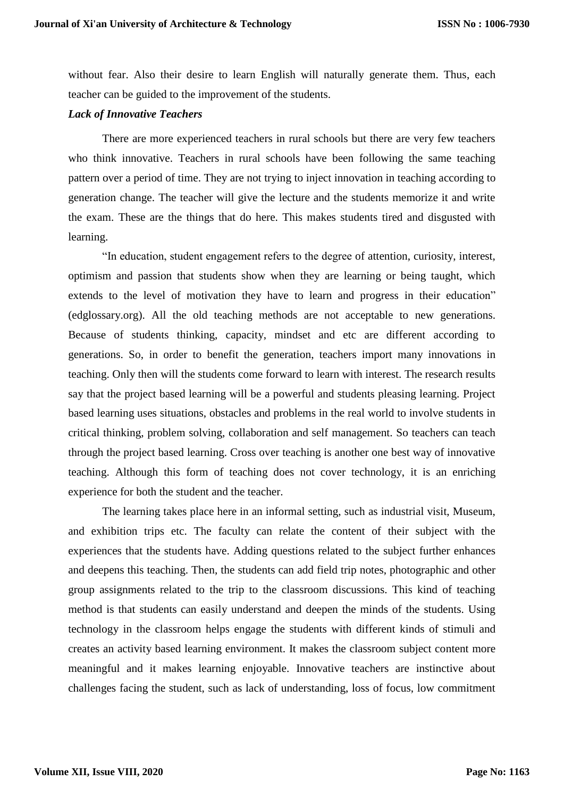without fear. Also their desire to learn English will naturally generate them. Thus, each teacher can be guided to the improvement of the students.

## *Lack of Innovative Teachers*

There are more experienced teachers in rural schools but there are very few teachers who think innovative. Teachers in rural schools have been following the same teaching pattern over a period of time. They are not trying to inject innovation in teaching according to generation change. The teacher will give the lecture and the students memorize it and write the exam. These are the things that do here. This makes students tired and disgusted with learning.

"In education, student engagement refers to the degree of attention, curiosity, interest, optimism and passion that students show when they are learning or being taught, which extends to the level of motivation they have to learn and progress in their education" (edglossary.org). All the old teaching methods are not acceptable to new generations. Because of students thinking, capacity, mindset and etc are different according to generations. So, in order to benefit the generation, teachers import many innovations in teaching. Only then will the students come forward to learn with interest. The research results say that the project based learning will be a powerful and students pleasing learning. Project based learning uses situations, obstacles and problems in the real world to involve students in critical thinking, problem solving, collaboration and self management. So teachers can teach through the project based learning. Cross over teaching is another one best way of innovative teaching. Although this form of teaching does not cover technology, it is an enriching experience for both the student and the teacher.

The learning takes place here in an informal setting, such as industrial visit, Museum, and exhibition trips etc. The faculty can relate the content of their subject with the experiences that the students have. Adding questions related to the subject further enhances and deepens this teaching. Then, the students can add field trip notes, photographic and other group assignments related to the trip to the classroom discussions. This kind of teaching method is that students can easily understand and deepen the minds of the students. Using technology in the classroom helps engage the students with different kinds of stimuli and creates an activity based learning environment. It makes the classroom subject content more meaningful and it makes learning enjoyable. Innovative teachers are instinctive about challenges facing the student, such as lack of understanding, loss of focus, low commitment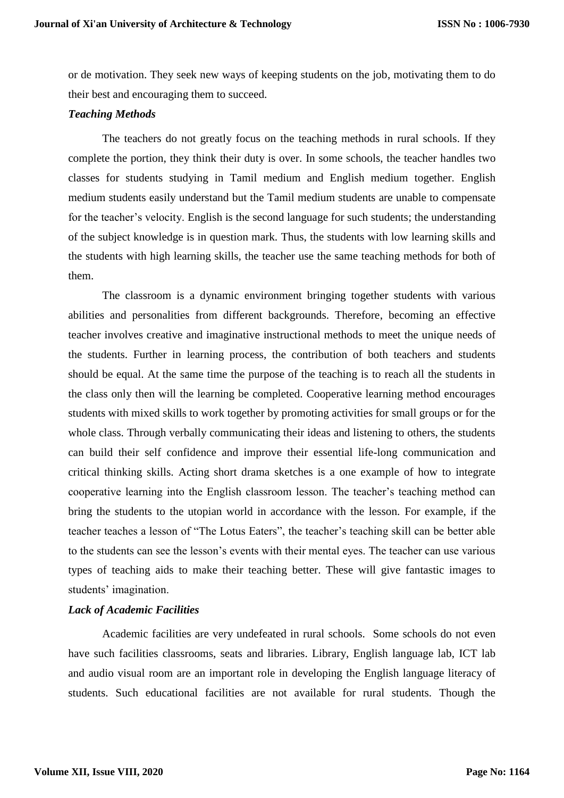or de motivation. They seek new ways of keeping students on the job, motivating them to do their best and encouraging them to succeed.

## *Teaching Methods*

The teachers do not greatly focus on the teaching methods in rural schools. If they complete the portion, they think their duty is over. In some schools, the teacher handles two classes for students studying in Tamil medium and English medium together. English medium students easily understand but the Tamil medium students are unable to compensate for the teacher's velocity. English is the second language for such students; the understanding of the subject knowledge is in question mark. Thus, the students with low learning skills and the students with high learning skills, the teacher use the same teaching methods for both of them.

The classroom is a dynamic environment bringing together students with various abilities and personalities from different backgrounds. Therefore, becoming an effective teacher involves creative and imaginative instructional methods to meet the unique needs of the students. Further in learning process, the contribution of both teachers and students should be equal. At the same time the purpose of the teaching is to reach all the students in the class only then will the learning be completed. Cooperative learning method encourages students with mixed skills to work together by promoting activities for small groups or for the whole class. Through verbally communicating their ideas and listening to others, the students can build their self confidence and improve their essential life-long communication and critical thinking skills. Acting short drama sketches is a one example of how to integrate cooperative learning into the English classroom lesson. The teacher's teaching method can bring the students to the utopian world in accordance with the lesson. For example, if the teacher teaches a lesson of "The Lotus Eaters", the teacher's teaching skill can be better able to the students can see the lesson's events with their mental eyes. The teacher can use various types of teaching aids to make their teaching better. These will give fantastic images to students' imagination.

## *Lack of Academic Facilities*

Academic facilities are very undefeated in rural schools. Some schools do not even have such facilities classrooms, seats and libraries. Library, English language lab, ICT lab and audio visual room are an important role in developing the English language literacy of students. Such educational facilities are not available for rural students. Though the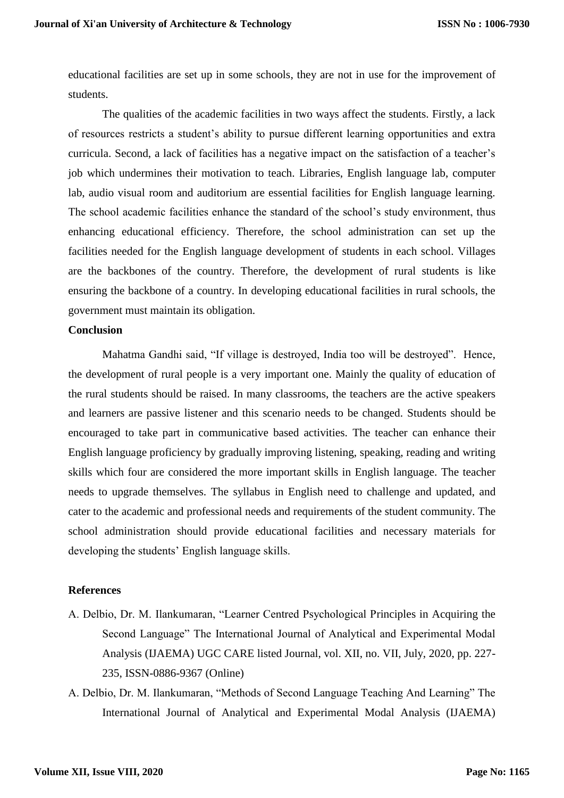educational facilities are set up in some schools, they are not in use for the improvement of students.

The qualities of the academic facilities in two ways affect the students. Firstly, a lack of resources restricts a student's ability to pursue different learning opportunities and extra curricula. Second, a lack of facilities has a negative impact on the satisfaction of a teacher's job which undermines their motivation to teach. Libraries, English language lab, computer lab, audio visual room and auditorium are essential facilities for English language learning. The school academic facilities enhance the standard of the school's study environment, thus enhancing educational efficiency. Therefore, the school administration can set up the facilities needed for the English language development of students in each school. Villages are the backbones of the country. Therefore, the development of rural students is like ensuring the backbone of a country. In developing educational facilities in rural schools, the government must maintain its obligation.

## **Conclusion**

Mahatma Gandhi said, "If village is destroyed, India too will be destroyed". Hence, the development of rural people is a very important one. Mainly the quality of education of the rural students should be raised. In many classrooms, the teachers are the active speakers and learners are passive listener and this scenario needs to be changed. Students should be encouraged to take part in communicative based activities. The teacher can enhance their English language proficiency by gradually improving listening, speaking, reading and writing skills which four are considered the more important skills in English language. The teacher needs to upgrade themselves. The syllabus in English need to challenge and updated, and cater to the academic and professional needs and requirements of the student community. The school administration should provide educational facilities and necessary materials for developing the students' English language skills.

## **References**

- A. Delbio, Dr. M. Ilankumaran, "Learner Centred Psychological Principles in Acquiring the Second Language" The International Journal of Analytical and Experimental Modal Analysis (IJAEMA) UGC CARE listed Journal, vol. XII, no. VII, July, 2020, pp. 227- 235, ISSN-0886-9367 (Online)
- A. Delbio, Dr. M. Ilankumaran, "Methods of Second Language Teaching And Learning" The International Journal of Analytical and Experimental Modal Analysis (IJAEMA)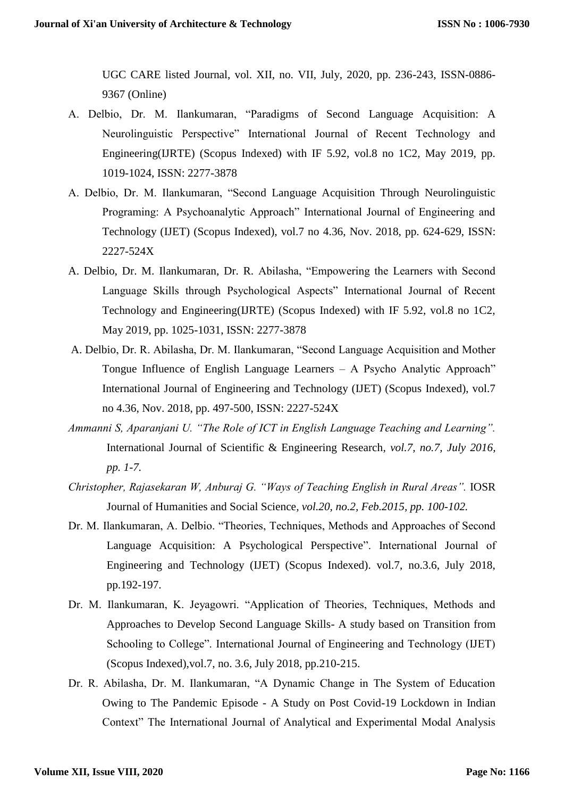UGC CARE listed Journal, vol. XII, no. VII, July, 2020, pp. 236-243, ISSN-0886- 9367 (Online)

- A. Delbio, Dr. M. Ilankumaran, "Paradigms of Second Language Acquisition: A Neurolinguistic Perspective" International Journal of Recent Technology and Engineering(IJRTE) (Scopus Indexed) with IF 5.92, vol.8 no 1C2, May 2019, pp. 1019-1024, ISSN: 2277-3878
- A. Delbio, Dr. M. Ilankumaran, "Second Language Acquisition Through Neurolinguistic Programing: A Psychoanalytic Approach" International Journal of Engineering and Technology (IJET) (Scopus Indexed), vol.7 no 4.36, Nov. 2018, pp. 624-629, ISSN: 2227-524X
- A. Delbio, Dr. M. Ilankumaran, Dr. R. Abilasha, "Empowering the Learners with Second Language Skills through Psychological Aspects" International Journal of Recent Technology and Engineering(IJRTE) (Scopus Indexed) with IF 5.92, vol.8 no 1C2, May 2019, pp. 1025-1031, ISSN: 2277-3878
- A. Delbio, Dr. R. Abilasha, Dr. M. Ilankumaran, "Second Language Acquisition and Mother Tongue Influence of English Language Learners – A Psycho Analytic Approach" International Journal of Engineering and Technology (IJET) (Scopus Indexed), vol.7 no 4.36, Nov. 2018, pp. 497-500, ISSN: 2227-524X
- *Ammanni S, Aparanjani U. "The Role of ICT in English Language Teaching and Learning".*  International Journal of Scientific & Engineering Research*, vol.7, no.7, July 2016, pp. 1-7.*
- *Christopher, Rajasekaran W, Anburaj G. "Ways of Teaching English in Rural Areas".* IOSR Journal of Humanities and Social Science*, vol.20, no.2, Feb.2015, pp. 100-102.*
- Dr. M. Ilankumaran, A. Delbio. "Theories, Techniques, Methods and Approaches of Second Language Acquisition: A Psychological Perspective". International Journal of Engineering and Technology (IJET) (Scopus Indexed). vol.7, no.3.6, July 2018, pp.192-197.
- Dr. M. Ilankumaran, K. Jeyagowri. "Application of Theories, Techniques, Methods and Approaches to Develop Second Language Skills- A study based on Transition from Schooling to College". International Journal of Engineering and Technology (IJET) (Scopus Indexed),vol.7, no. 3.6, July 2018, pp.210-215.
- Dr. R. Abilasha, Dr. M. Ilankumaran, "A Dynamic Change in The System of Education Owing to The Pandemic Episode - A Study on Post Covid-19 Lockdown in Indian Context" The International Journal of Analytical and Experimental Modal Analysis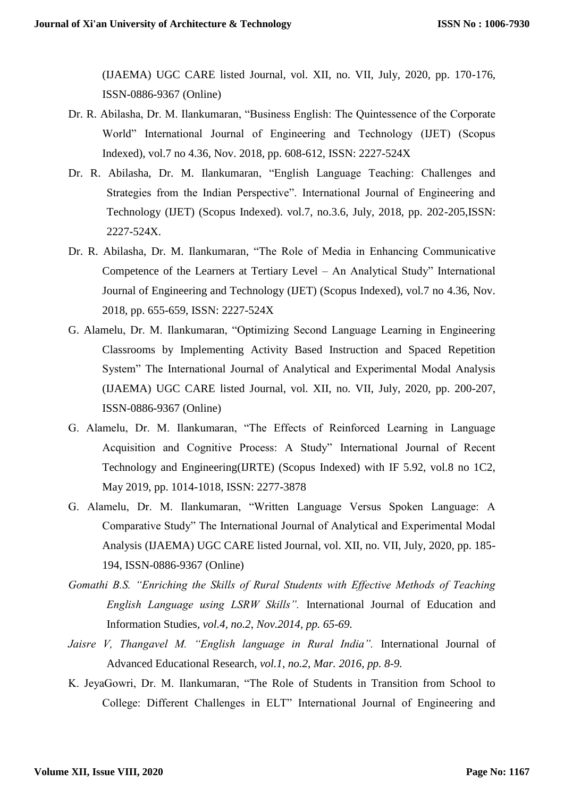(IJAEMA) UGC CARE listed Journal, vol. XII, no. VII, July, 2020, pp. 170-176, ISSN-0886-9367 (Online)

- Dr. R. Abilasha, Dr. M. Ilankumaran, "Business English: The Quintessence of the Corporate World" International Journal of Engineering and Technology (IJET) (Scopus Indexed), vol.7 no 4.36, Nov. 2018, pp. 608-612, ISSN: 2227-524X
- Dr. R. Abilasha, Dr. M. Ilankumaran, "English Language Teaching: Challenges and Strategies from the Indian Perspective". International Journal of Engineering and Technology (IJET) (Scopus Indexed). vol.7, no.3.6, July, 2018, pp. 202-205,ISSN: 2227-524X.
- Dr. R. Abilasha, Dr. M. Ilankumaran, "The Role of Media in Enhancing Communicative Competence of the Learners at Tertiary Level – An Analytical Study" International Journal of Engineering and Technology (IJET) (Scopus Indexed), vol.7 no 4.36, Nov. 2018, pp. 655-659, ISSN: 2227-524X
- G. Alamelu, Dr. M. Ilankumaran, "Optimizing Second Language Learning in Engineering Classrooms by Implementing Activity Based Instruction and Spaced Repetition System" The International Journal of Analytical and Experimental Modal Analysis (IJAEMA) UGC CARE listed Journal, vol. XII, no. VII, July, 2020, pp. 200-207, ISSN-0886-9367 (Online)
- G. Alamelu, Dr. M. Ilankumaran, "The Effects of Reinforced Learning in Language Acquisition and Cognitive Process: A Study" International Journal of Recent Technology and Engineering(IJRTE) (Scopus Indexed) with IF 5.92, vol.8 no 1C2, May 2019, pp. 1014-1018, ISSN: 2277-3878
- G. Alamelu, Dr. M. Ilankumaran, "Written Language Versus Spoken Language: A Comparative Study" The International Journal of Analytical and Experimental Modal Analysis (IJAEMA) UGC CARE listed Journal, vol. XII, no. VII, July, 2020, pp. 185- 194, ISSN-0886-9367 (Online)
- *Gomathi B.S. "Enriching the Skills of Rural Students with Effective Methods of Teaching English Language using LSRW Skills".* International Journal of Education and Information Studies*, vol.4, no.2, Nov.2014, pp. 65-69.*
- *Jaisre V, Thangavel M. "English language in Rural India".* International Journal of Advanced Educational Research*, vol.1, no.2, Mar. 2016, pp. 8-9.*
- K. JeyaGowri, Dr. M. Ilankumaran, "The Role of Students in Transition from School to College: Different Challenges in ELT" International Journal of Engineering and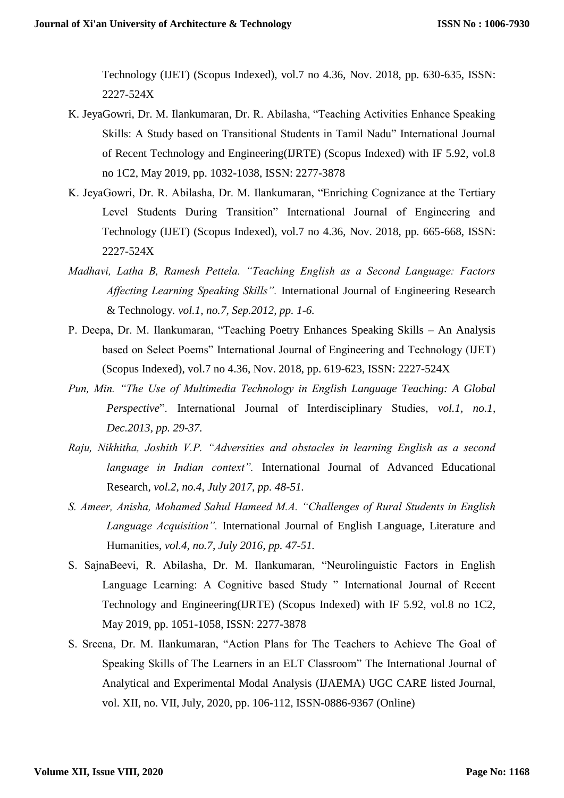Technology (IJET) (Scopus Indexed), vol.7 no 4.36, Nov. 2018, pp. 630-635, ISSN: 2227-524X

- K. JeyaGowri, Dr. M. Ilankumaran, Dr. R. Abilasha, "Teaching Activities Enhance Speaking Skills: A Study based on Transitional Students in Tamil Nadu" International Journal of Recent Technology and Engineering(IJRTE) (Scopus Indexed) with IF 5.92, vol.8 no 1C2, May 2019, pp. 1032-1038, ISSN: 2277-3878
- K. JeyaGowri, Dr. R. Abilasha, Dr. M. Ilankumaran, "Enriching Cognizance at the Tertiary Level Students During Transition" International Journal of Engineering and Technology (IJET) (Scopus Indexed), vol.7 no 4.36, Nov. 2018, pp. 665-668, ISSN: 2227-524X
- *Madhavi, Latha B, Ramesh Pettela. "Teaching English as a Second Language: Factors Affecting Learning Speaking Skills".* International Journal of Engineering Research & Technology*. vol.1, no.7, Sep.2012, pp. 1-6.*
- P. Deepa, Dr. M. Ilankumaran, "Teaching Poetry Enhances Speaking Skills An Analysis based on Select Poems" International Journal of Engineering and Technology (IJET) (Scopus Indexed), vol.7 no 4.36, Nov. 2018, pp. 619-623, ISSN: 2227-524X
- *Pun, Min. "The Use of Multimedia Technology in English Language Teaching: A Global Perspective*". International Journal of Interdisciplinary Studies*, vol.1, no.1, Dec.2013, pp. 29-37.*
- *Raju, Nikhitha, Joshith V.P. "Adversities and obstacles in learning English as a second language in Indian context".* International Journal of Advanced Educational Research*, vol.2, no.4, July 2017, pp. 48-51.*
- *S. Ameer, Anisha, Mohamed Sahul Hameed M.A. "Challenges of Rural Students in English Language Acquisition".* International Journal of English Language, Literature and Humanities*, vol.4, no.7, July 2016, pp. 47-51.*
- S. SajnaBeevi, R. Abilasha, Dr. M. Ilankumaran, "Neurolinguistic Factors in English Language Learning: A Cognitive based Study " International Journal of Recent Technology and Engineering(IJRTE) (Scopus Indexed) with IF 5.92, vol.8 no 1C2, May 2019, pp. 1051-1058, ISSN: 2277-3878
- S. Sreena, Dr. M. Ilankumaran, "Action Plans for The Teachers to Achieve The Goal of Speaking Skills of The Learners in an ELT Classroom" The International Journal of Analytical and Experimental Modal Analysis (IJAEMA) UGC CARE listed Journal, vol. XII, no. VII, July, 2020, pp. 106-112, ISSN-0886-9367 (Online)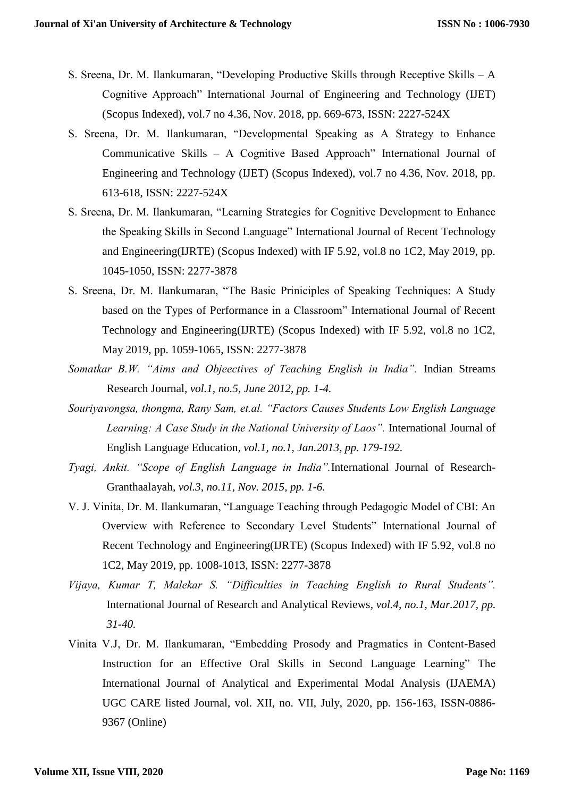- S. Sreena, Dr. M. Ilankumaran, "Developing Productive Skills through Receptive Skills A Cognitive Approach" International Journal of Engineering and Technology (IJET) (Scopus Indexed), vol.7 no 4.36, Nov. 2018, pp. 669-673, ISSN: 2227-524X
- S. Sreena, Dr. M. Ilankumaran, "Developmental Speaking as A Strategy to Enhance Communicative Skills – A Cognitive Based Approach" International Journal of Engineering and Technology (IJET) (Scopus Indexed), vol.7 no 4.36, Nov. 2018, pp. 613-618, ISSN: 2227-524X
- S. Sreena, Dr. M. Ilankumaran, "Learning Strategies for Cognitive Development to Enhance the Speaking Skills in Second Language" International Journal of Recent Technology and Engineering(IJRTE) (Scopus Indexed) with IF 5.92, vol.8 no 1C2, May 2019, pp. 1045-1050, ISSN: 2277-3878
- S. Sreena, Dr. M. Ilankumaran, "The Basic Priniciples of Speaking Techniques: A Study based on the Types of Performance in a Classroom" International Journal of Recent Technology and Engineering(IJRTE) (Scopus Indexed) with IF 5.92, vol.8 no 1C2, May 2019, pp. 1059-1065, ISSN: 2277-3878
- *Somatkar B.W. "Aims and Objeectives of Teaching English in India".* Indian Streams Research Journal*, vol.1, no.5, June 2012, pp. 1-4.*
- *Souriyavongsa, thongma, Rany Sam, et.al. "Factors Causes Students Low English Language*  Learning: A Case Study in the National University of Laos". International Journal of English Language Education*, vol.1, no.1, Jan.2013, pp. 179-192.*
- *Tyagi, Ankit. "Scope of English Language in India".*International Journal of Research-Granthaalayah*, vol.3, no.11, Nov. 2015, pp. 1-6.*
- V. J. Vinita, Dr. M. Ilankumaran, "Language Teaching through Pedagogic Model of CBI: An Overview with Reference to Secondary Level Students" International Journal of Recent Technology and Engineering(IJRTE) (Scopus Indexed) with IF 5.92, vol.8 no 1C2, May 2019, pp. 1008-1013, ISSN: 2277-3878
- *Vijaya, Kumar T, Malekar S. "Difficulties in Teaching English to Rural Students".*  International Journal of Research and Analytical Reviews*, vol.4, no.1, Mar.2017, pp. 31-40.*
- Vinita V.J, Dr. M. Ilankumaran, "Embedding Prosody and Pragmatics in Content-Based Instruction for an Effective Oral Skills in Second Language Learning" The International Journal of Analytical and Experimental Modal Analysis (IJAEMA) UGC CARE listed Journal, vol. XII, no. VII, July, 2020, pp. 156-163, ISSN-0886- 9367 (Online)